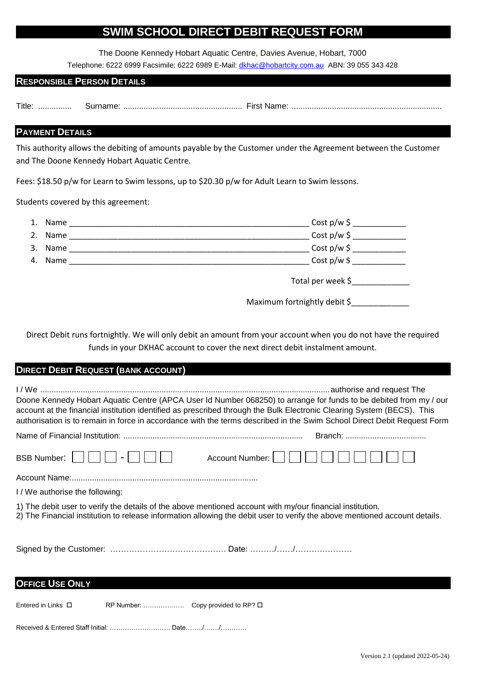#### **SWIM SCHOOL DIRECT DEBIT REQUEST FORM**

The Doone Kennedy Hobart Aquatic Centre, Davies Avenue, Hobart, 7000

Telephone: 6222 6999 Facsimile: 6222 6989 E-Mail: [dkhac@hobartcity.com.au](mailto:dkhac@hobartcity.com.au) ABN: 39 055 343 428

#### **RESPONSIBLE PERSON DETAILS**

Title: ............... Surname: ..................................................... First Name: ...................................................................

#### **PAYMENT DETAILS**

This authority allows the debiting of amounts payable by the Customer under the Agreement between the Customer and The Doone Kennedy Hobart Aquatic Centre.

Fees: \$18.50 p/w for Learn to Swim lessons, up to \$20.30 p/w for Adult Learn to Swim lessons.

Students covered by this agreement:

| 1. | Name |                                 | $Cost p/w \xi$            |
|----|------|---------------------------------|---------------------------|
| 2. | Name |                                 | $Cost p/w \xi$            |
| 3. | Name |                                 | $Cost p/w \xi$            |
| 4. | Name |                                 | $\frac{1}{2}$ Cost p/w \$ |
|    |      | Total per week \$______________ |                           |
|    |      | Maximum fortnightly debit \$    |                           |

Direct Debit runs fortnightly. We will only debit an amount from your account when you do not have the required funds in your DKHAC account to cover the next direct debit instalment amount.

#### **DIRECT DEBIT REQUEST (BANK ACCOUNT)**

| Doone Kennedy Hobart Aquatic Centre (APCA User Id Number 068250) to arrange for funds to be debited from my / our<br>account at the financial institution identified as prescribed through the Bulk Electronic Clearing System (BECS). This<br>authorisation is to remain in force in accordance with the terms described in the Swim School Direct Debit Request Form |                 |  |  |  |
|------------------------------------------------------------------------------------------------------------------------------------------------------------------------------------------------------------------------------------------------------------------------------------------------------------------------------------------------------------------------|-----------------|--|--|--|
|                                                                                                                                                                                                                                                                                                                                                                        |                 |  |  |  |
| <b>BSB Number:</b><br>$\blacksquare$                                                                                                                                                                                                                                                                                                                                   | Account Number: |  |  |  |
|                                                                                                                                                                                                                                                                                                                                                                        |                 |  |  |  |
| I / We authorise the following:                                                                                                                                                                                                                                                                                                                                        |                 |  |  |  |
| 1) The debit user to verify the details of the above mentioned account with my/our financial institution.<br>2) The Financial institution to release information allowing the debit user to verify the above mentioned account details.                                                                                                                                |                 |  |  |  |
|                                                                                                                                                                                                                                                                                                                                                                        |                 |  |  |  |
| <b>OFFICE USE ONLY</b>                                                                                                                                                                                                                                                                                                                                                 |                 |  |  |  |
| Entered in Links $\Box$                                                                                                                                                                                                                                                                                                                                                |                 |  |  |  |

Received & Entered Staff Initial: ………………………. Date……../……./…………